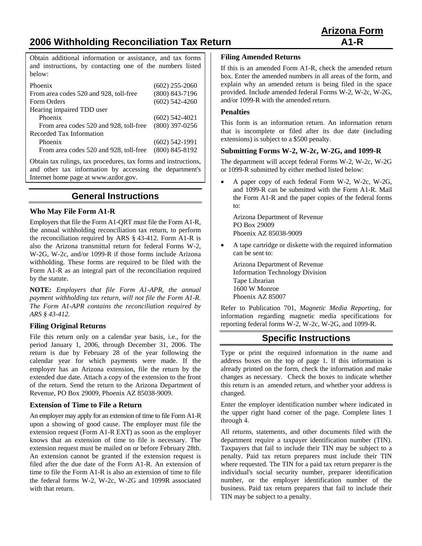# **2006 Withholding Reconciliation Tax Return A1-R A1-R**

Obtain additional information or assistance, and tax forms and instructions, by contacting one of the numbers listed below:

| Phoenix                                | $(602)$ 255-2060   |
|----------------------------------------|--------------------|
| From area codes 520 and 928, toll-free | $(800) 843 - 7196$ |
| Form Orders                            | $(602)$ 542-4260   |
| Hearing impaired TDD user              |                    |
| Phoenix                                | $(602)$ 542-4021   |
| From area codes 520 and 928, toll-free | $(800)$ 397-0256   |
| Recorded Tax Information               |                    |
| Phoenix                                | $(602)$ 542-1991   |
| From area codes 520 and 928, toll-free | $(800) 845 - 8192$ |

Obtain tax rulings, tax procedures, tax forms and instructions, and other tax information by accessing the department's Internet home page at www.azdor.gov.

# **General Instructions**

#### **Who May File Form A1-R**

Employers that file the Form A1-QRT must file the Form A1-R, the annual withholding reconciliation tax return, to perform the reconciliation required by ARS § 43-412. Form A1-R is also the Arizona transmittal return for federal Forms W-2, W-2G, W-2c, and/or 1099-R if those forms include Arizona withholding. These forms are required to be filed with the Form A1-R as an integral part of the reconciliation required by the statute.

**NOTE:** *Employers that file Form A1-APR, the annual payment withholding tax return, will not file the Form A1-R. The Form A1-APR contains the reconciliation required by ARS § 43-412.*

#### **Filing Original Returns**

File this return only on a calendar year basis, i.e., for the period January 1, 2006, through December 31, 2006. The return is due by February 28 of the year following the calendar year for which payments were made. If the employer has an Arizona extension, file the return by the extended due date. Attach a copy of the extension to the front of the return. Send the return to the Arizona Department of Revenue, PO Box 29009, Phoenix AZ 85038-9009.

#### **Extension of Time to File a Return**

An employer may apply for an extension of time to file Form A1-R upon a showing of good cause. The employer must file the extension request (Form A1-R EXT) as soon as the employer knows that an extension of time to file is necessary. The extension request must be mailed on or before February 28th. An extension cannot be granted if the extension request is filed after the due date of the Form A1-R. An extension of time to file the Form A1-R is also an extension of time to file the federal forms W-2, W-2c, W-2G and 1099R associated with that return.

#### **Filing Amended Returns**

If this is an amended Form A1-R, check the amended return box. Enter the amended numbers in all areas of the form, and explain why an amended return is being filed in the space provided. Include amended federal Forms W-2, W-2c, W-2G, and/or 1099-R with the amended return.

#### **Penalties**

This form is an information return. An information return that is incomplete or filed after its due date (including extensions) is subject to a \$500 penalty.

#### **Submitting Forms W-2, W-2c, W-2G, and 1099-R**

The department will accept federal Forms W-2, W-2c, W-2G or 1099-R submitted by either method listed below:

• A paper copy of each federal Form W-2, W-2c, W-2G, and 1099-R can be submitted with the Form A1-R. Mail the Form A1-R and the paper copies of the federal forms to:

Arizona Department of Revenue PO Box 29009 Phoenix AZ 85038-9009

• A tape cartridge or diskette with the required information can be sent to:

 Arizona Department of Revenue Information Technology Division Tape Librarian 1600 W Monroe Phoenix AZ 85007

Refer to Publication 701, *Magnetic Media Reporting*, for information regarding magnetic media specifications for reporting federal forms W-2, W-2c, W-2G, and 1099-R.

# **Specific Instructions**

Type or print the required information in the name and address boxes on the top of page 1. If this information is already printed on the form, check the information and make changes as necessary. Check the boxes to indicate whether this return is an amended return, and whether your address is changed.

Enter the employer identification number where indicated in the upper right hand corner of the page. Complete lines 1 through 4.

All returns, statements, and other documents filed with the department require a taxpayer identification number (TIN). Taxpayers that fail to include their TIN may be subject to a penalty. Paid tax return preparers must include their TIN where requested. The TIN for a paid tax return preparer is the individual's social security number, preparer identification number, or the employer identification number of the business. Paid tax return preparers that fail to include their TIN may be subject to a penalty.